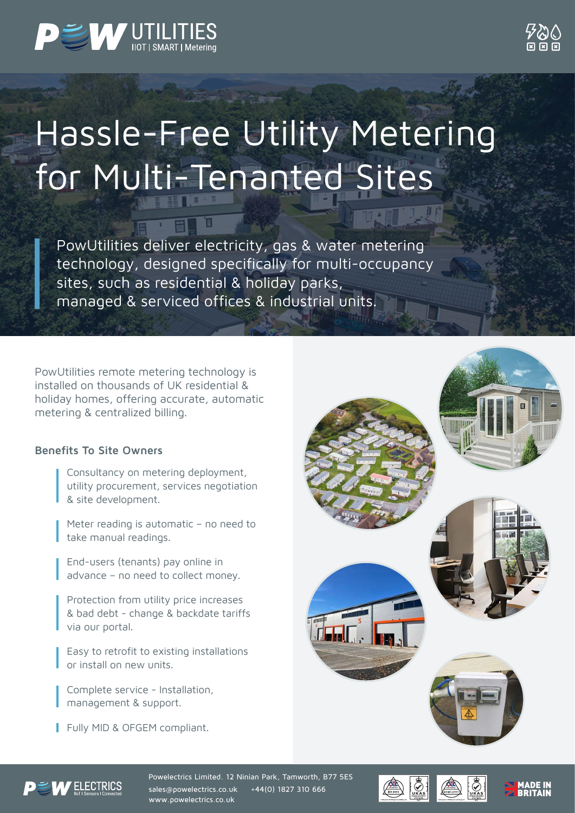



## Hassle-Free Utility Metering for Multi-Tenanted Sites

PowUtilities deliver electricity, gas & water metering technology, designed specifically for multi-occupancy sites, such as residential & holiday parks, managed & serviced offices & industrial units.

PowUtilities remote metering technology is installed on thousands of UK residential & holiday homes, offering accurate, automatic metering & centralized billing.

## **Benefits To Site Owners**

Consultancy on metering deployment, utility procurement, services negotiation & site development.

Meter reading is automatic – no need to take manual readings.

End-users (tenants) pay online in advance – no need to collect money.

Protection from utility price increases & bad debt - change & backdate tariffs via our portal.

Easy to retrofit to existing installations or install on new units.

Complete service - Installation, management & support.

Fully MID & OFGEM compliant.





Powelectrics Limited. 12 Ninian Park, Tamworth, B77 5ES sales@powelectrics.co.uk +44(0) 1827 310 666 www.powelectrics.co.uk